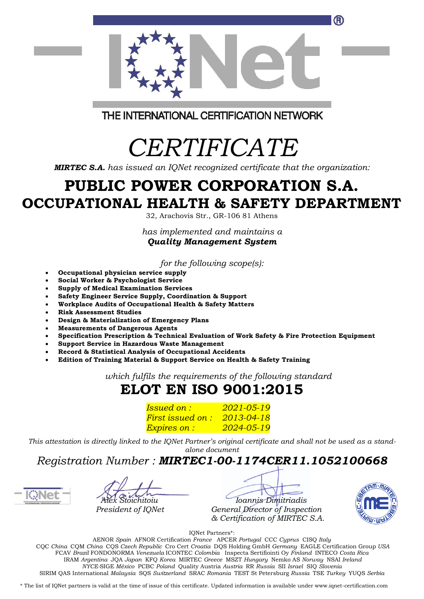

THE INTERNATIONAL CERTIFICATION NETWORK

# *CERTIFICATE*

*MIRTEC S.A. has issued an IQNet recognized certificate that the organization:*

### **PUBLIC POWER CORPORATION S.A. OCCUPATIONAL HEALTH & SAFETY DEPARTMENT**

32, Arachovis Str., GR-106 81 Athens

*has implemented and maintains a Quality Management System*

*for the following scope(s):*

- **Occupational physician service supply**
- **Social Worker & Psychologist Service**
- **Supply of Medical Examination Services**
- **Safety Engineer Service Supply, Coordination & Support**
- **Workplace Audits of Occupational Health & Safety Matters**
- **Risk Assessment Studies**
- **Design & Materialization of Emergency Plans**
- **Measurements of Dangerous Agents**
- **Specification Prescription & Technical Evaluation of Work Safety & Fire Protection Equipment**
- **Support Service in Hazardous Waste Management**
- **Record & Statistical Analysis of Occupational Accidents**
- **Edition of Training Material & Support Service on Health & Safety Training**

*which fulfils the requirements of the following standard*

### **ELOT ΕΝ ISO 9001:2015**

*Issued on : 2021-05-19 First issued on : 2013-04-18 Expires on : 2024-05-19*

*This attestation is directly linked to the IQNet Partner's original certificate and shall not be used as a standalone document*

#### *Registration Number : MIRTEC1-00-1174CER11.1052100668*



 *Alex Stoichitoiu Ioannis Dimitriadis President of IQNet General Director of Inspection & Certification of MIRTEC S.A.*



IQNet Partners\*:

AENOR *Spain* AFNOR Certification *France* APCER *Portugal* CCC *Cyprus* CISQ *Italy* CQC *China* CQM *China* CQS *Czech Republic* Cro Cert *Croatia* DQS Holding GmbH *Germany* EAGLE Certification Group *USA* FCAV *Brazil* FONDONORMA *Venezuela* ICONTEC *Colombia* Inspecta Sertifiointi Oy *Finland* INTECO *Costa Rica* IRAM *Argentina* JQA *Japan* KFQ *Korea* MIRTEC *Greece* MSZT *Hungary* Nemko AS *Norway* NSAI *Ireland NYCE-*SIGE *México* PCBC *Poland* Quality Austria *Austria* RR *Russia* SII *Israel* SIQ *Slovenia*  SIRIM QAS International *Malaysia* SQS *Switzerland* SRAC *Romania* TEST St Petersburg *Russia* TSE *Turkey* YUQS *Serbia*

\* The list of IQNet partners is valid at the time of issue of this certificate. Updated information is available under www.iqnet-certification.com